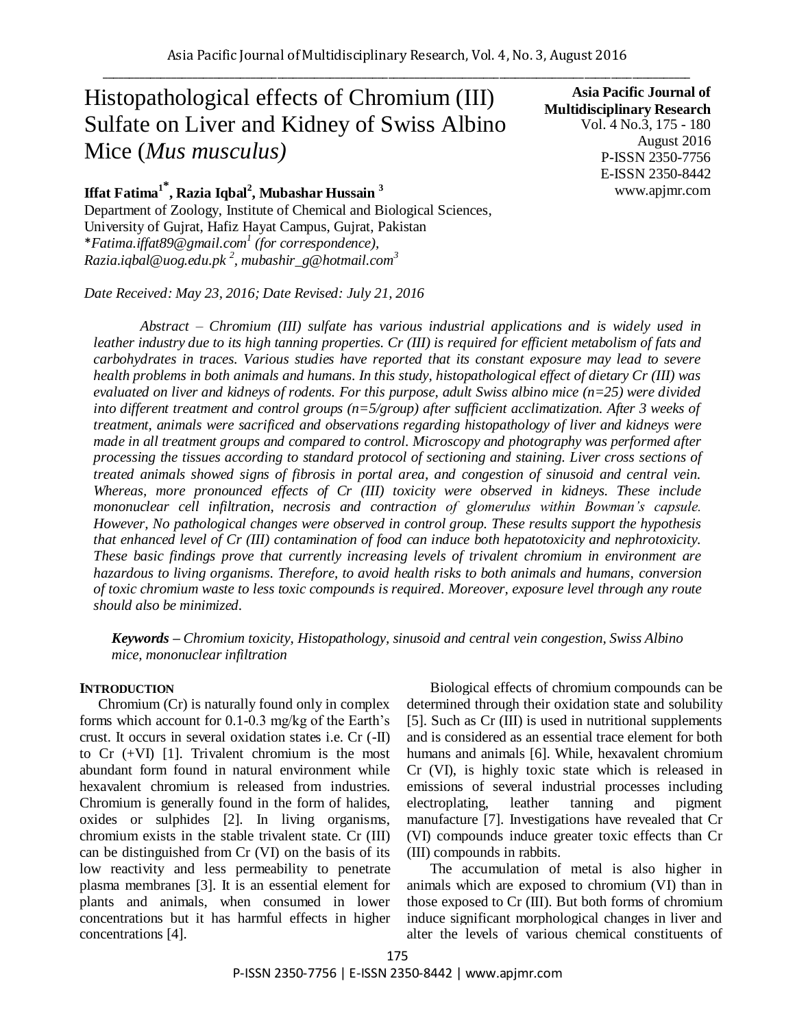# Histopathological effects of Chromium (III) Sulfate on Liver and Kidney of Swiss Albino Mice (*Mus musculus)*

**Iffat Fatima<sup>1</sup>\* , Razia Iqbal<sup>2</sup> , Mubashar Hussain <sup>3</sup>** Department of Zoology, Institute of Chemical and Biological Sciences, University of Gujrat, Hafiz Hayat Campus, Gujrat, Pakistan \**Fatima.iffat89@gmail.com 1 (for correspondence), Razia.iqbal@uog.edu.pk <sup>2</sup> , mubashir\_g@hotmail.com<sup>3</sup>*

*Date Received: May 23, 2016; Date Revised: July 21, 2016*

**Asia Pacific Journal of Multidisciplinary Research** Vol. 4 No.3, 175 - 180 August 2016 P-ISSN 2350-7756 E-ISSN 2350-8442 www.apjmr.com

*Abstract – Chromium (III) sulfate has various industrial applications and is widely used in leather industry due to its high tanning properties. Cr (III) is required for efficient metabolism of fats and carbohydrates in traces. Various studies have reported that its constant exposure may lead to severe health problems in both animals and humans. In this study, histopathological effect of dietary Cr (III) was evaluated on liver and kidneys of rodents. For this purpose, adult Swiss albino mice (n=25) were divided into different treatment and control groups (n=5/group) after sufficient acclimatization. After 3 weeks of treatment, animals were sacrificed and observations regarding histopathology of liver and kidneys were made in all treatment groups and compared to control. Microscopy and photography was performed after processing the tissues according to standard protocol of sectioning and staining. Liver cross sections of treated animals showed signs of fibrosis in portal area, and congestion of sinusoid and central vein. Whereas, more pronounced effects of Cr (III) toxicity were observed in kidneys. These include mononuclear cell infiltration, necrosis and contraction of glomerulus within Bowman's capsule. However, No pathological changes were observed in control group. These results support the hypothesis that enhanced level of Cr (III) contamination of food can induce both hepatotoxicity and nephrotoxicity. These basic findings prove that currently increasing levels of trivalent chromium in environment are hazardous to living organisms. Therefore, to avoid health risks to both animals and humans, conversion of toxic chromium waste to less toxic compounds is required. Moreover, exposure level through any route should also be minimized.* 

*Keywords – Chromium toxicity, Histopathology, sinusoid and central vein congestion, Swiss Albino mice, mononuclear infiltration*

#### **INTRODUCTION**

Chromium (Cr) is naturally found only in complex forms which account for 0.1-0.3 mg/kg of the Earth's crust. It occurs in several oxidation states i.e. Cr (-II) to Cr (+VI) [1]. Trivalent chromium is the most abundant form found in natural environment while hexavalent chromium is released from industries. Chromium is generally found in the form of halides, oxides or sulphides [2]. In living organisms, chromium exists in the stable trivalent state. Cr (III) can be distinguished from Cr (VI) on the basis of its low reactivity and less permeability to penetrate plasma membranes [3]. It is an essential element for plants and animals, when consumed in lower concentrations but it has harmful effects in higher concentrations [4].

Biological effects of chromium compounds can be determined through their oxidation state and solubility [5]. Such as Cr (III) is used in nutritional supplements and is considered as an essential trace element for both humans and animals [6]. While, hexavalent chromium Cr (VI), is highly toxic state which is released in emissions of several industrial processes including electroplating, leather tanning and pigment manufacture [7]. Investigations have revealed that Cr (VI) compounds induce greater toxic effects than Cr (III) compounds in rabbits.

The accumulation of metal is also higher in animals which are exposed to chromium (VI) than in those exposed to Cr (III). But both forms of chromium induce significant morphological changes in liver and alter the levels of various chemical constituents of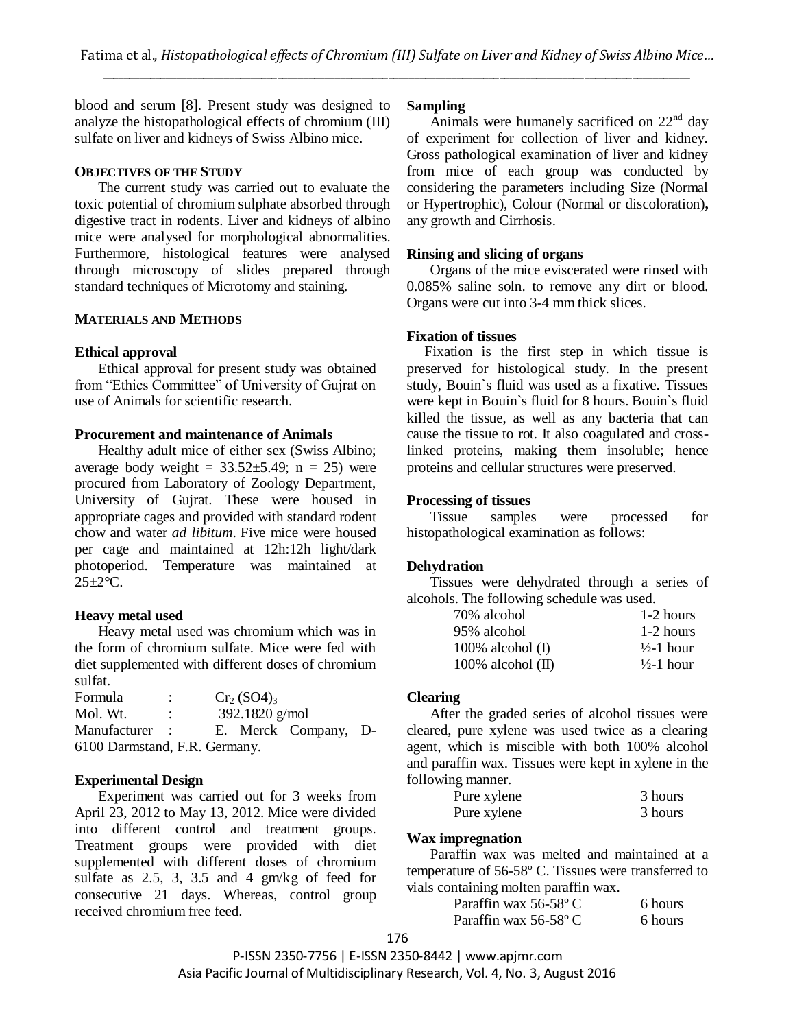blood and serum [8]. Present study was designed to analyze the histopathological effects of chromium (III) sulfate on liver and kidneys of Swiss Albino mice.

## **OBJECTIVES OF THE STUDY**

The current study was carried out to evaluate the toxic potential of chromium sulphate absorbed through digestive tract in rodents. Liver and kidneys of albino mice were analysed for morphological abnormalities. Furthermore, histological features were analysed through microscopy of slides prepared through standard techniques of Microtomy and staining.

## **MATERIALS AND METHODS**

## **Ethical approval**

Ethical approval for present study was obtained from "Ethics Committee" of University of Gujrat on use of Animals for scientific research.

## **Procurement and maintenance of Animals**

Healthy adult mice of either sex (Swiss Albino; average body weight =  $33.52 \pm 5.49$ ; n = 25) were procured from Laboratory of Zoology Department, University of Gujrat. These were housed in appropriate cages and provided with standard rodent chow and water *ad libitum*. Five mice were housed per cage and maintained at 12h:12h light/dark photoperiod. Temperature was maintained at  $25 \pm 2$ °C.

## **Heavy metal used**

Heavy metal used was chromium which was in the form of chromium sulfate. Mice were fed with diet supplemented with different doses of chromium sulfat.

| Formula                       |                      |  | $Cr_2(SO4)_3$    |                      |  |
|-------------------------------|----------------------|--|------------------|----------------------|--|
| Mol. Wt.                      | $\ddot{\phantom{a}}$ |  | 392.1820 $g/mol$ |                      |  |
| Manufacturer :                |                      |  |                  | E. Merck Company, D- |  |
| 6100 Darmstand, F.R. Germany. |                      |  |                  |                      |  |

# **Experimental Design**

Experiment was carried out for 3 weeks from April 23, 2012 to May 13, 2012. Mice were divided into different control and treatment groups. Treatment groups were provided with diet supplemented with different doses of chromium sulfate as 2.5, 3, 3.5 and 4 gm/kg of feed for consecutive 21 days. Whereas, control group received chromium free feed.

#### **Sampling**

Animals were humanely sacrificed on  $22<sup>nd</sup>$  day of experiment for collection of liver and kidney. Gross pathological examination of liver and kidney from mice of each group was conducted by considering the parameters including Size (Normal or Hypertrophic), Colour (Normal or discoloration)**,** any growth and Cirrhosis.

## **Rinsing and slicing of organs**

Organs of the mice eviscerated were rinsed with 0.085% saline soln. to remove any dirt or blood. Organs were cut into 3-4 mm thick slices.

## **Fixation of tissues**

Fixation is the first step in which tissue is preserved for histological study. In the present study, Bouin`s fluid was used as a fixative. Tissues were kept in Bouin`s fluid for 8 hours. Bouin`s fluid killed the tissue, as well as any bacteria that can cause the tissue to rot. It also coagulated and crosslinked proteins, making them insoluble; hence proteins and cellular structures were preserved.

# **Processing of tissues**

Tissue samples were processed for histopathological examination as follows:

# **Dehydration**

Tissues were dehydrated through a series of alcohols. The following schedule was used.

| 70% alcohol          | 1-2 hours             |
|----------------------|-----------------------|
| 95% alcohol          | 1-2 hours             |
| $100\%$ alcohol (I)  | $\frac{1}{2}$ -1 hour |
| $100\%$ alcohol (II) | $\frac{1}{2}$ -1 hour |

# **Clearing**

After the graded series of alcohol tissues were cleared, pure xylene was used twice as a clearing agent, which is miscible with both 100% alcohol and paraffin wax. Tissues were kept in xylene in the following manner.

| Pure xylene | 3 hours |
|-------------|---------|
| Pure xylene | 3 hours |

## **Wax impregnation**

Paraffin wax was melted and maintained at a temperature of 56-58º C. Tissues were transferred to vials containing molten paraffin wax.

| Paraffin wax $56-58$ °C | 6 hours |
|-------------------------|---------|
| Paraffin wax 56-58°C    | 6 hours |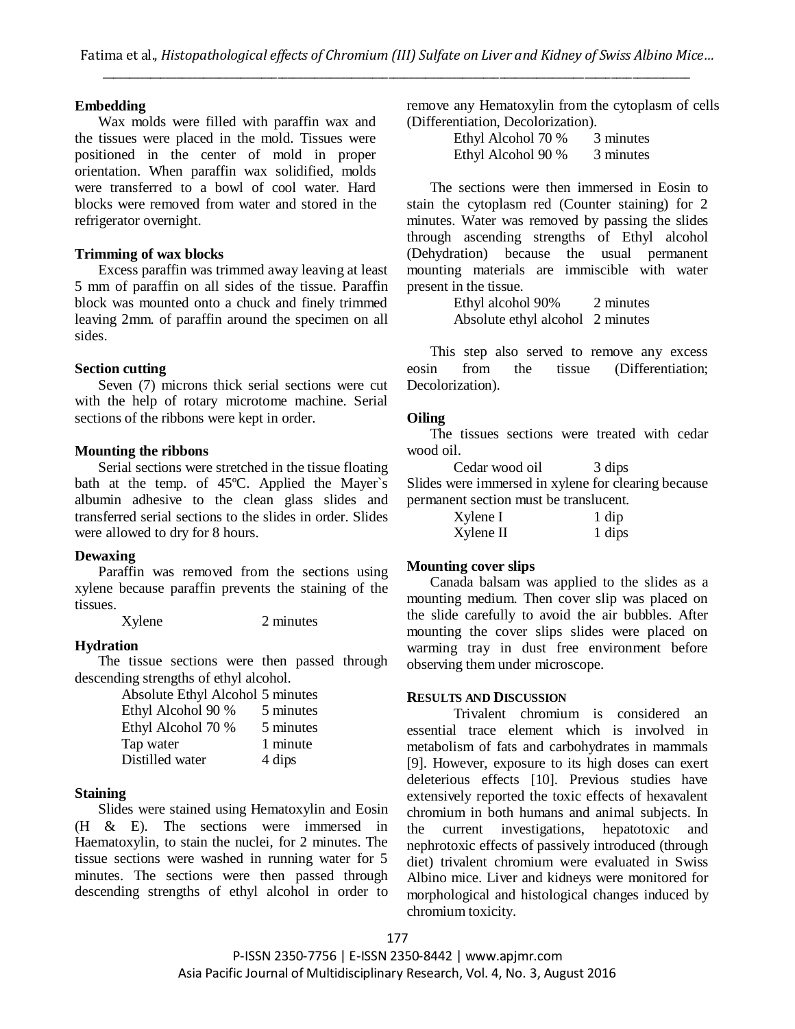## **Embedding**

Wax molds were filled with paraffin wax and the tissues were placed in the mold. Tissues were positioned in the center of mold in proper orientation. When paraffin wax solidified, molds were transferred to a bowl of cool water. Hard blocks were removed from water and stored in the refrigerator overnight.

## **Trimming of wax blocks**

Excess paraffin was trimmed away leaving at least 5 mm of paraffin on all sides of the tissue. Paraffin block was mounted onto a chuck and finely trimmed leaving 2mm. of paraffin around the specimen on all sides.

## **Section cutting**

Seven (7) microns thick serial sections were cut with the help of rotary microtome machine. Serial sections of the ribbons were kept in order.

## **Mounting the ribbons**

Serial sections were stretched in the tissue floating bath at the temp. of 45ºC. Applied the Mayer`s albumin adhesive to the clean glass slides and transferred serial sections to the slides in order. Slides were allowed to dry for 8 hours.

# **Dewaxing**

Paraffin was removed from the sections using xylene because paraffin prevents the staining of the tissues.

Xylene 2 minutes

#### **Hydration**

The tissue sections were then passed through descending strengths of ethyl alcohol.

| Absolute Ethyl Alcohol 5 minutes |           |
|----------------------------------|-----------|
| Ethyl Alcohol 90 %               | 5 minutes |
| Ethyl Alcohol 70 %               | 5 minutes |
| Tap water                        | 1 minute  |
| Distilled water                  | 4 dips    |

# **Staining**

Slides were stained using Hematoxylin and Eosin (H & E). The sections were immersed in Haematoxylin, to stain the nuclei, for 2 minutes. The tissue sections were washed in running water for 5 minutes. The sections were then passed through descending strengths of ethyl alcohol in order to remove any Hematoxylin from the cytoplasm of cells (Differentiation, Decolorization).

| Ethyl Alcohol 70 % | 3 minutes |
|--------------------|-----------|
| Ethyl Alcohol 90 % | 3 minutes |

The sections were then immersed in Eosin to stain the cytoplasm red (Counter staining) for 2 minutes. Water was removed by passing the slides through ascending strengths of Ethyl alcohol (Dehydration) because the usual permanent mounting materials are immiscible with water present in the tissue.

> Ethyl alcohol 90% 2 minutes Absolute ethyl alcohol 2 minutes

This step also served to remove any excess eosin from the tissue (Differentiation; Decolorization).

## **Oiling**

The tissues sections were treated with cedar wood oil.

Cedar wood oil 3 dips Slides were immersed in xylene for clearing because permanent section must be translucent.

| Xylene I  | $1$ dip |
|-----------|---------|
| Xylene II | 1 dips  |

#### **Mounting cover slips**

Canada balsam was applied to the slides as a mounting medium. Then cover slip was placed on the slide carefully to avoid the air bubbles. After mounting the cover slips slides were placed on warming tray in dust free environment before observing them under microscope.

## **RESULTS AND DISCUSSION**

Trivalent chromium is considered an essential trace element which is involved in metabolism of fats and carbohydrates in mammals [9]. However, exposure to its high doses can exert deleterious effects [10]. Previous studies have extensively reported the toxic effects of hexavalent chromium in both humans and animal subjects. In the current investigations, hepatotoxic and nephrotoxic effects of passively introduced (through diet) trivalent chromium were evaluated in Swiss Albino mice. Liver and kidneys were monitored for morphological and histological changes induced by chromium toxicity.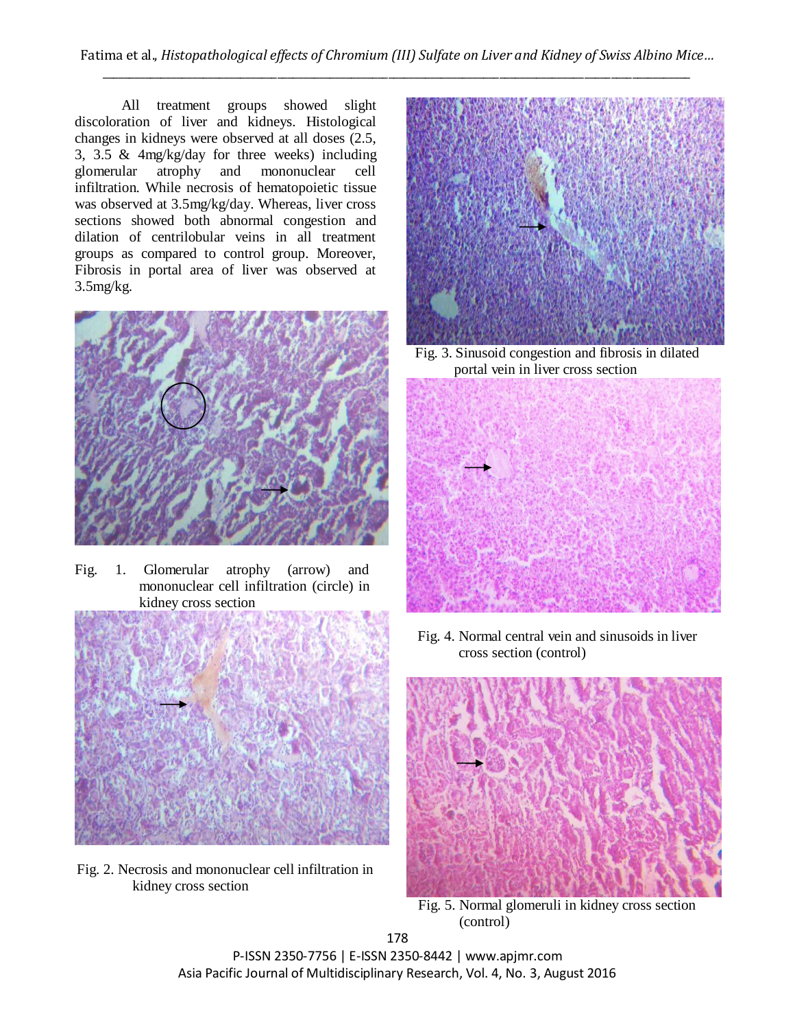All treatment groups showed slight discoloration of liver and kidneys. Histological changes in kidneys were observed at all doses (2.5, 3, 3.5 & 4mg/kg/day for three weeks) including glomerular atrophy and mononuclear cell infiltration. While necrosis of hematopoietic tissue was observed at 3.5mg/kg/day. Whereas, liver cross sections showed both abnormal congestion and dilation of centrilobular veins in all treatment groups as compared to control group. Moreover, Fibrosis in portal area of liver was observed at 3.5mg/kg.



Fig. 1. Glomerular atrophy (arrow) and mononuclear cell infiltration (circle) in kidney cross section



Fig. 2. Necrosis and mononuclear cell infiltration in kidney cross section



Fig. 3. Sinusoid congestion and fibrosis in dilated portal vein in liver cross section



Fig. 4. Normal central vein and sinusoids in liver cross section (control)



Fig. 5. Normal glomeruli in kidney cross section (control)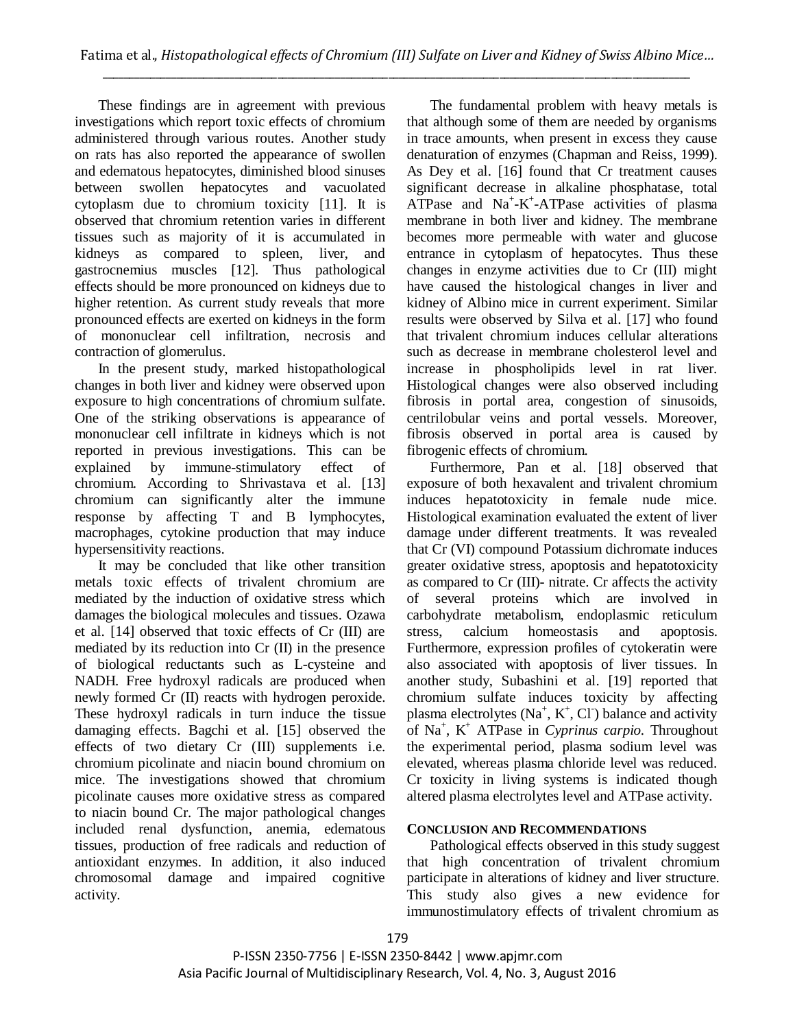These findings are in agreement with previous investigations which report toxic effects of chromium administered through various routes. Another study on rats has also reported the appearance of swollen and edematous hepatocytes, diminished blood sinuses between swollen hepatocytes and vacuolated cytoplasm due to chromium toxicity [11]. It is observed that chromium retention varies in different tissues such as majority of it is accumulated in kidneys as compared to spleen, liver, and gastrocnemius muscles [12]. Thus pathological effects should be more pronounced on kidneys due to higher retention. As current study reveals that more pronounced effects are exerted on kidneys in the form of mononuclear cell infiltration, necrosis and contraction of glomerulus.

In the present study, marked histopathological changes in both liver and kidney were observed upon exposure to high concentrations of chromium sulfate. One of the striking observations is appearance of mononuclear cell infiltrate in kidneys which is not reported in previous investigations. This can be explained by immune-stimulatory effect of chromium. According to Shrivastava et al. [13] chromium can significantly alter the immune response by affecting T and B lymphocytes, macrophages, cytokine production that may induce hypersensitivity reactions.

It may be concluded that like other transition metals toxic effects of trivalent chromium are mediated by the induction of oxidative stress which damages the biological molecules and tissues. Ozawa et al. [14] observed that toxic effects of Cr (III) are mediated by its reduction into Cr (II) in the presence of biological reductants such as L-cysteine and NADH. Free hydroxyl radicals are produced when newly formed Cr (II) reacts with hydrogen peroxide. These hydroxyl radicals in turn induce the tissue damaging effects. Bagchi et al. [15] observed the effects of two dietary Cr (III) supplements i.e. chromium picolinate and niacin bound chromium on mice. The investigations showed that chromium picolinate causes more oxidative stress as compared to niacin bound Cr. The major pathological changes included renal dysfunction, anemia, edematous tissues, production of free radicals and reduction of antioxidant enzymes. In addition, it also induced chromosomal damage and impaired cognitive activity.

The fundamental problem with heavy metals is that although some of them are needed by organisms in trace amounts, when present in excess they cause denaturation of enzymes (Chapman and Reiss, 1999). As Dey et al. [16] found that Cr treatment causes significant decrease in alkaline phosphatase, total ATPase and  $Na^+ - K^+$ -ATPase activities of plasma membrane in both liver and kidney. The membrane becomes more permeable with water and glucose entrance in cytoplasm of hepatocytes. Thus these changes in enzyme activities due to Cr (III) might have caused the histological changes in liver and kidney of Albino mice in current experiment. Similar results were observed by Silva et al. [17] who found that trivalent chromium induces cellular alterations such as decrease in membrane cholesterol level and increase in phospholipids level in rat liver. Histological changes were also observed including fibrosis in portal area, congestion of sinusoids, centrilobular veins and portal vessels. Moreover, fibrosis observed in portal area is caused by fibrogenic effects of chromium.

Furthermore, Pan et al. [18] observed that exposure of both hexavalent and trivalent chromium induces hepatotoxicity in female nude mice. Histological examination evaluated the extent of liver damage under different treatments. It was revealed that Cr (VI) compound Potassium dichromate induces greater oxidative stress, apoptosis and hepatotoxicity as compared to Cr (III)- nitrate. Cr affects the activity of several proteins which are involved in carbohydrate metabolism, endoplasmic reticulum stress, calcium homeostasis and apoptosis. Furthermore, expression profiles of cytokeratin were also associated with apoptosis of liver tissues. In another study, Subashini et al. [19] reported that chromium sulfate induces toxicity by affecting plasma electrolytes  $(Na^+, K^+, C)$  balance and activity of Na<sup>+</sup> , K<sup>+</sup> ATPase in *Cyprinus carpio.* Throughout the experimental period, plasma sodium level was elevated, whereas plasma chloride level was reduced. Cr toxicity in living systems is indicated though altered plasma electrolytes level and ATPase activity.

# **CONCLUSION AND RECOMMENDATIONS**

Pathological effects observed in this study suggest that high concentration of trivalent chromium participate in alterations of kidney and liver structure. This study also gives a new evidence for immunostimulatory effects of trivalent chromium as